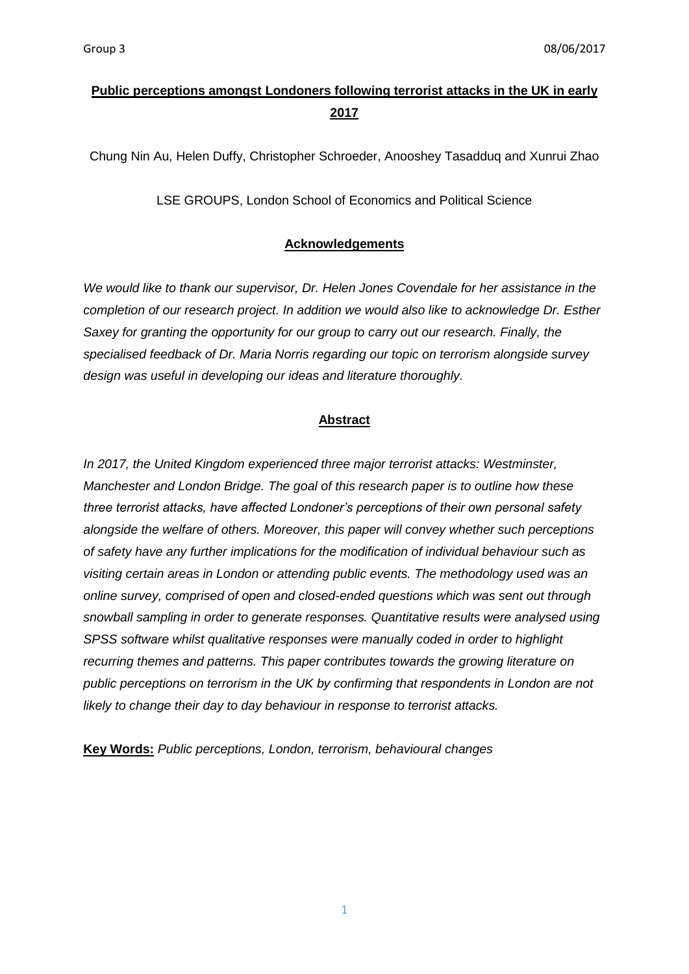# **Public perceptions amongst Londoners following terrorist attacks in the UK in early 2017**

Chung Nin Au, Helen Duffy, Christopher Schroeder, Anooshey Tasadduq and Xunrui Zhao

LSE GROUPS, London School of Economics and Political Science

### **Acknowledgements**

*We would like to thank our supervisor, Dr. Helen Jones Covendale for her assistance in the completion of our research project. In addition we would also like to acknowledge Dr. Esther Saxey for granting the opportunity for our group to carry out our research. Finally, the specialised feedback of Dr. Maria Norris regarding our topic on terrorism alongside survey design was useful in developing our ideas and literature thoroughly.* 

## **Abstract**

*In 2017, the United Kingdom experienced three major terrorist attacks: Westminster, Manchester and London Bridge. The goal of this research paper is to outline how these three terrorist attacks, have affected Londoner's perceptions of their own personal safety alongside the welfare of others. Moreover, this paper will convey whether such perceptions of safety have any further implications for the modification of individual behaviour such as visiting certain areas in London or attending public events. The methodology used was an online survey, comprised of open and closed-ended questions which was sent out through snowball sampling in order to generate responses. Quantitative results were analysed using SPSS software whilst qualitative responses were manually coded in order to highlight recurring themes and patterns. This paper contributes towards the growing literature on public perceptions on terrorism in the UK by confirming that respondents in London are not likely to change their day to day behaviour in response to terrorist attacks.* 

**Key Words:** *Public perceptions, London, terrorism, behavioural changes*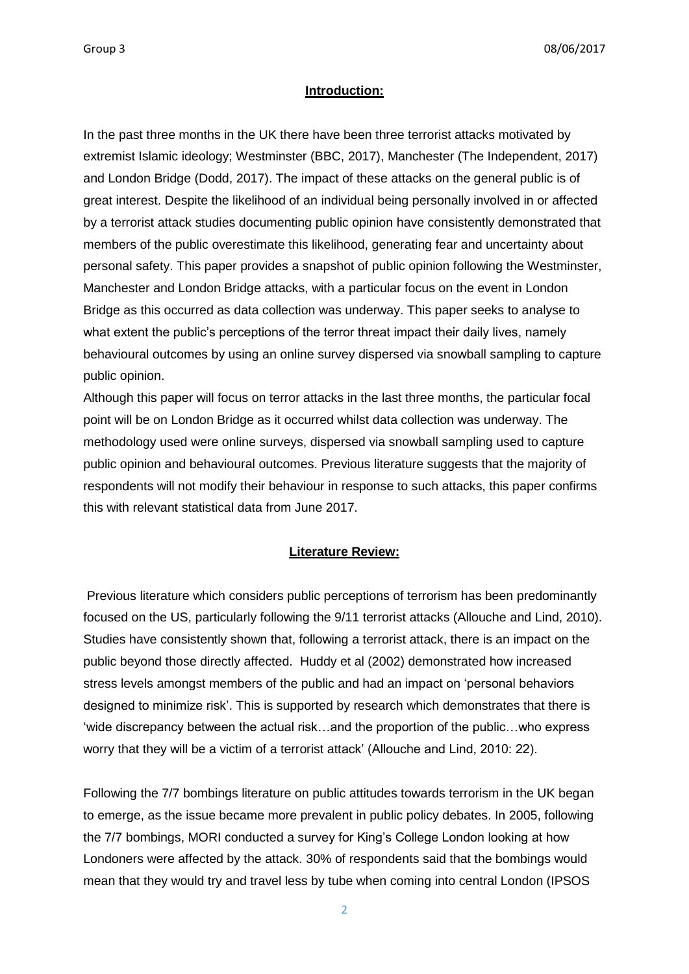#### **Introduction:**

In the past three months in the UK there have been three terrorist attacks motivated by extremist Islamic ideology; Westminster (BBC, 2017), Manchester (The Independent, 2017) and London Bridge (Dodd, 2017). The impact of these attacks on the general public is of great interest. Despite the likelihood of an individual being personally involved in or affected by a terrorist attack studies documenting public opinion have consistently demonstrated that members of the public overestimate this likelihood, generating fear and uncertainty about personal safety. This paper provides a snapshot of public opinion following the Westminster, Manchester and London Bridge attacks, with a particular focus on the event in London Bridge as this occurred as data collection was underway. This paper seeks to analyse to what extent the public's perceptions of the terror threat impact their daily lives, namely behavioural outcomes by using an online survey dispersed via snowball sampling to capture public opinion.

Although this paper will focus on terror attacks in the last three months, the particular focal point will be on London Bridge as it occurred whilst data collection was underway. The methodology used were online surveys, dispersed via snowball sampling used to capture public opinion and behavioural outcomes. Previous literature suggests that the majority of respondents will not modify their behaviour in response to such attacks, this paper confirms this with relevant statistical data from June 2017.

#### **Literature Review:**

Previous literature which considers public perceptions of terrorism has been predominantly focused on the US, particularly following the 9/11 terrorist attacks (Allouche and Lind, 2010). Studies have consistently shown that, following a terrorist attack, there is an impact on the public beyond those directly affected. Huddy et al (2002) demonstrated how increased stress levels amongst members of the public and had an impact on 'personal behaviors designed to minimize risk'. This is supported by research which demonstrates that there is 'wide discrepancy between the actual risk…and the proportion of the public…who express worry that they will be a victim of a terrorist attack' (Allouche and Lind, 2010: 22).

Following the 7/7 bombings literature on public attitudes towards terrorism in the UK began to emerge, as the issue became more prevalent in public policy debates. In 2005, following the 7/7 bombings, MORI conducted a survey for King's College London looking at how Londoners were affected by the attack. 30% of respondents said that the bombings would mean that they would try and travel less by tube when coming into central London (IPSOS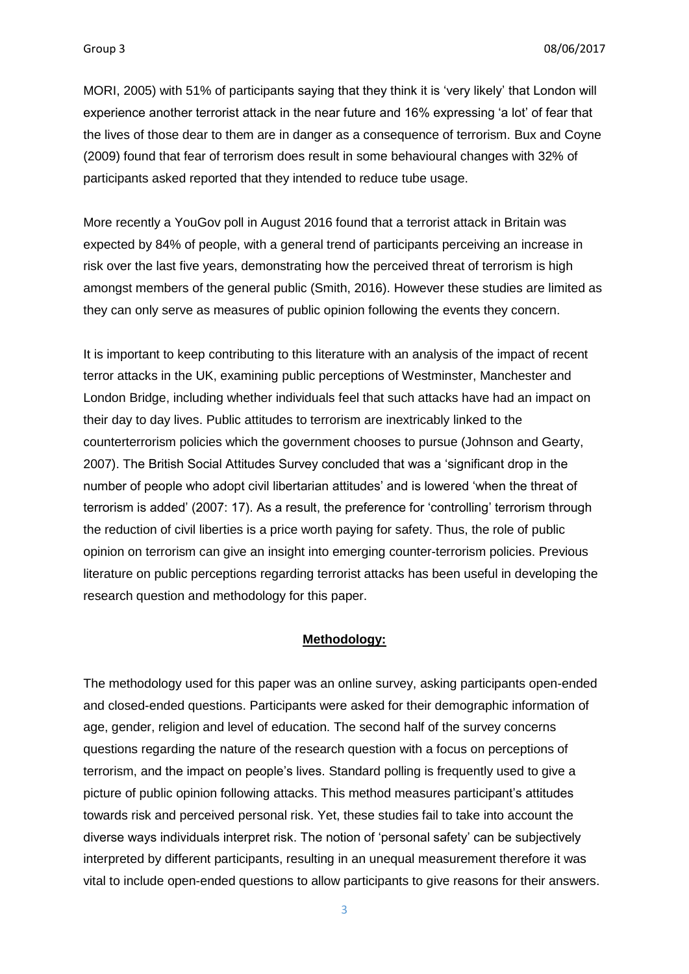MORI, 2005) with 51% of participants saying that they think it is 'very likely' that London will experience another terrorist attack in the near future and 16% expressing 'a lot' of fear that the lives of those dear to them are in danger as a consequence of terrorism. Bux and Coyne (2009) found that fear of terrorism does result in some behavioural changes with 32% of participants asked reported that they intended to reduce tube usage.

More recently a YouGov poll in August 2016 found that a terrorist attack in Britain was expected by 84% of people, with a general trend of participants perceiving an increase in risk over the last five years, demonstrating how the perceived threat of terrorism is high amongst members of the general public (Smith, 2016). However these studies are limited as they can only serve as measures of public opinion following the events they concern.

It is important to keep contributing to this literature with an analysis of the impact of recent terror attacks in the UK, examining public perceptions of Westminster, Manchester and London Bridge, including whether individuals feel that such attacks have had an impact on their day to day lives. Public attitudes to terrorism are inextricably linked to the counterterrorism policies which the government chooses to pursue (Johnson and Gearty, 2007). The British Social Attitudes Survey concluded that was a 'significant drop in the number of people who adopt civil libertarian attitudes' and is lowered 'when the threat of terrorism is added' (2007: 17). As a result, the preference for 'controlling' terrorism through the reduction of civil liberties is a price worth paying for safety. Thus, the role of public opinion on terrorism can give an insight into emerging counter-terrorism policies. Previous literature on public perceptions regarding terrorist attacks has been useful in developing the research question and methodology for this paper.

### **Methodology:**

The methodology used for this paper was an online survey, asking participants open-ended and closed-ended questions. Participants were asked for their demographic information of age, gender, religion and level of education. The second half of the survey concerns questions regarding the nature of the research question with a focus on perceptions of terrorism, and the impact on people's lives. Standard polling is frequently used to give a picture of public opinion following attacks. This method measures participant's attitudes towards risk and perceived personal risk. Yet, these studies fail to take into account the diverse ways individuals interpret risk. The notion of 'personal safety' can be subjectively interpreted by different participants, resulting in an unequal measurement therefore it was vital to include open-ended questions to allow participants to give reasons for their answers.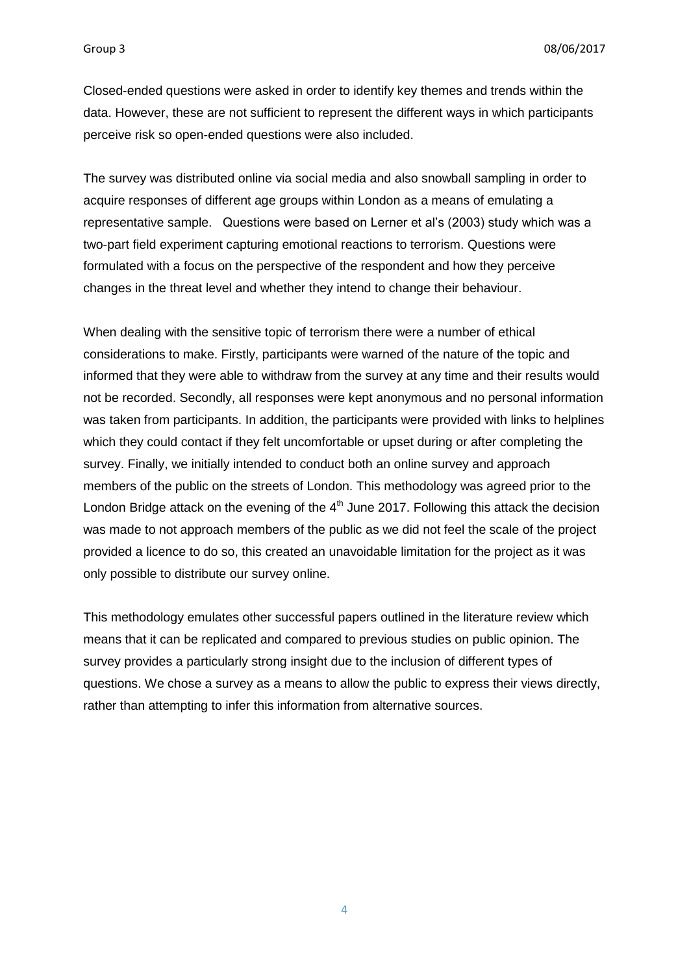Closed-ended questions were asked in order to identify key themes and trends within the data. However, these are not sufficient to represent the different ways in which participants perceive risk so open-ended questions were also included.

The survey was distributed online via social media and also snowball sampling in order to acquire responses of different age groups within London as a means of emulating a representative sample. Questions were based on Lerner et al's (2003) study which was a two-part field experiment capturing emotional reactions to terrorism. Questions were formulated with a focus on the perspective of the respondent and how they perceive changes in the threat level and whether they intend to change their behaviour.

When dealing with the sensitive topic of terrorism there were a number of ethical considerations to make. Firstly, participants were warned of the nature of the topic and informed that they were able to withdraw from the survey at any time and their results would not be recorded. Secondly, all responses were kept anonymous and no personal information was taken from participants. In addition, the participants were provided with links to helplines which they could contact if they felt uncomfortable or upset during or after completing the survey. Finally, we initially intended to conduct both an online survey and approach members of the public on the streets of London. This methodology was agreed prior to the London Bridge attack on the evening of the  $4<sup>th</sup>$  June 2017. Following this attack the decision was made to not approach members of the public as we did not feel the scale of the project provided a licence to do so, this created an unavoidable limitation for the project as it was only possible to distribute our survey online.

This methodology emulates other successful papers outlined in the literature review which means that it can be replicated and compared to previous studies on public opinion. The survey provides a particularly strong insight due to the inclusion of different types of questions. We chose a survey as a means to allow the public to express their views directly, rather than attempting to infer this information from alternative sources.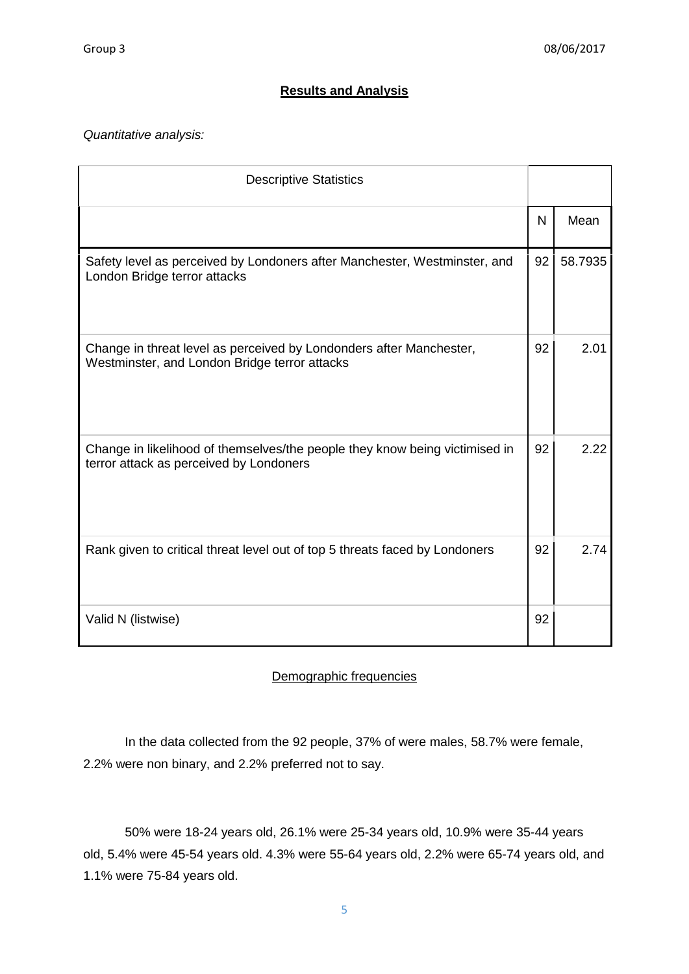# **Results and Analysis**

*Quantitative analysis:* 

| <b>Descriptive Statistics</b>                                                                                          |    |         |
|------------------------------------------------------------------------------------------------------------------------|----|---------|
|                                                                                                                        | N  | Mean    |
| Safety level as perceived by Londoners after Manchester, Westminster, and<br>London Bridge terror attacks              | 92 | 58.7935 |
| Change in threat level as perceived by Londonders after Manchester,<br>Westminster, and London Bridge terror attacks   | 92 | 2.01    |
| Change in likelihood of themselves/the people they know being victimised in<br>terror attack as perceived by Londoners | 92 | 2.22    |
| Rank given to critical threat level out of top 5 threats faced by Londoners                                            | 92 | 2.74    |
| Valid N (listwise)                                                                                                     | 92 |         |

# Demographic frequencies

In the data collected from the 92 people, 37% of were males, 58.7% were female, 2.2% were non binary, and 2.2% preferred not to say.

50% were 18-24 years old, 26.1% were 25-34 years old, 10.9% were 35-44 years old, 5.4% were 45-54 years old. 4.3% were 55-64 years old, 2.2% were 65-74 years old, and 1.1% were 75-84 years old.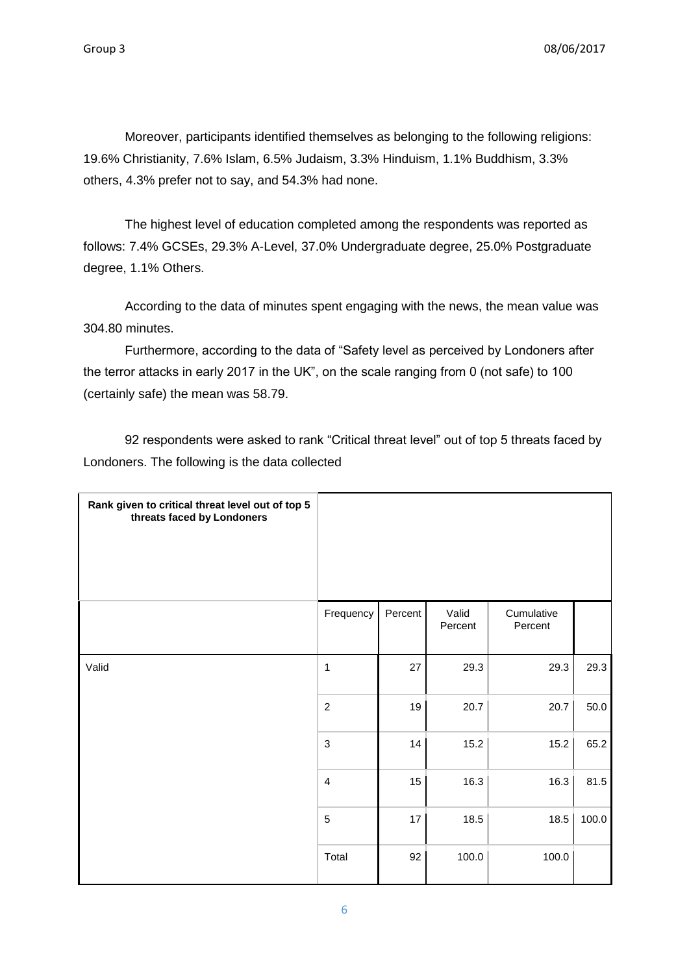Moreover, participants identified themselves as belonging to the following religions: 19.6% Christianity, 7.6% Islam, 6.5% Judaism, 3.3% Hinduism, 1.1% Buddhism, 3.3% others, 4.3% prefer not to say, and 54.3% had none.

The highest level of education completed among the respondents was reported as follows: 7.4% GCSEs, 29.3% A-Level, 37.0% Undergraduate degree, 25.0% Postgraduate degree, 1.1% Others.

According to the data of minutes spent engaging with the news, the mean value was 304.80 minutes.

Furthermore, according to the data of "Safety level as perceived by Londoners after the terror attacks in early 2017 in the UK", on the scale ranging from 0 (not safe) to 100 (certainly safe) the mean was 58.79.

92 respondents were asked to rank "Critical threat level" out of top 5 threats faced by Londoners. The following is the data collected

| Rank given to critical threat level out of top 5<br>threats faced by Londoners |                |         |                  |                       |       |
|--------------------------------------------------------------------------------|----------------|---------|------------------|-----------------------|-------|
|                                                                                | Frequency      | Percent | Valid<br>Percent | Cumulative<br>Percent |       |
| Valid                                                                          | $\mathbf 1$    | 27      | 29.3             | 29.3                  | 29.3  |
|                                                                                | $\overline{2}$ | 19      | 20.7             | 20.7                  | 50.0  |
|                                                                                | $\mathsf 3$    | 14      | 15.2             | 15.2                  | 65.2  |
|                                                                                | $\overline{4}$ | 15      | 16.3             | 16.3                  | 81.5  |
|                                                                                | $\overline{5}$ | 17      | 18.5             | 18.5                  | 100.0 |
|                                                                                | Total          | 92      | 100.0            | 100.0                 |       |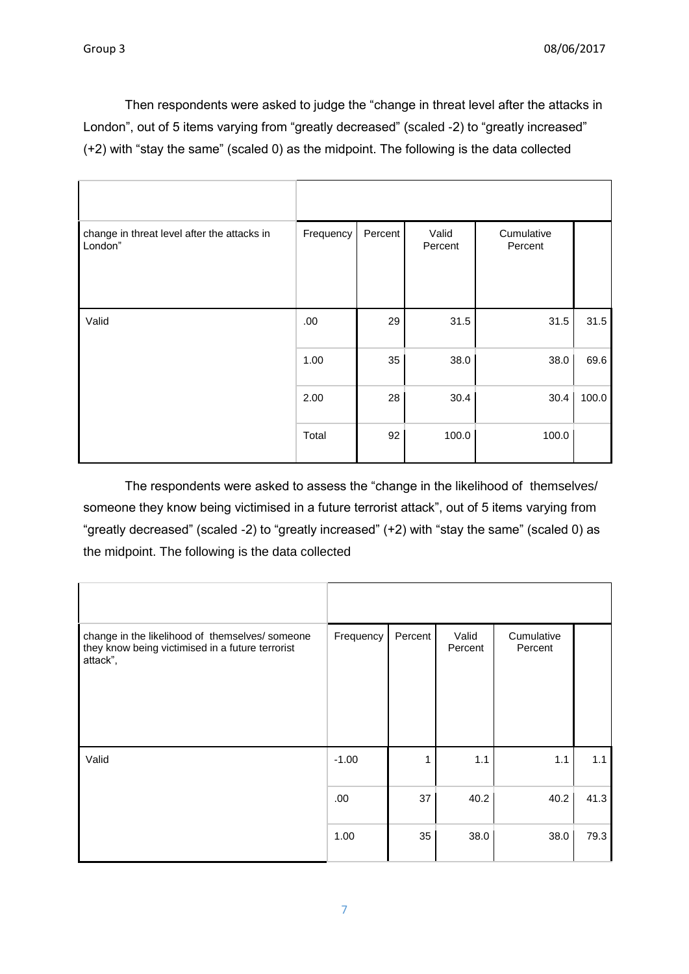Then respondents were asked to judge the "change in threat level after the attacks in London", out of 5 items varying from "greatly decreased" (scaled -2) to "greatly increased" (+2) with "stay the same" (scaled 0) as the midpoint. The following is the data collected

| change in threat level after the attacks in<br>London" | Frequency | Percent | Valid<br>Percent | Cumulative<br>Percent |       |
|--------------------------------------------------------|-----------|---------|------------------|-----------------------|-------|
| Valid                                                  | .00       | 29      | 31.5             | 31.5                  | 31.5  |
|                                                        | 1.00      | 35      | 38.0             | 38.0                  | 69.6  |
|                                                        | 2.00      | 28      | 30.4             | 30.4                  | 100.0 |
|                                                        | Total     | 92      | 100.0            | 100.0                 |       |

The respondents were asked to assess the "change in the likelihood of themselves/ someone they know being victimised in a future terrorist attack", out of 5 items varying from "greatly decreased" (scaled -2) to "greatly increased" (+2) with "stay the same" (scaled 0) as the midpoint. The following is the data collected

| change in the likelihood of themselves/ someone<br>they know being victimised in a future terrorist<br>attack", | Frequency | Percent | Valid<br>Percent | Cumulative<br>Percent |      |
|-----------------------------------------------------------------------------------------------------------------|-----------|---------|------------------|-----------------------|------|
| Valid                                                                                                           | $-1.00$   |         | 1.1              | 1.1                   | 1.1  |
|                                                                                                                 | .00       | 37      | 40.2             | 40.2                  | 41.3 |
|                                                                                                                 | 1.00      | 35      | 38.0             | 38.0                  | 79.3 |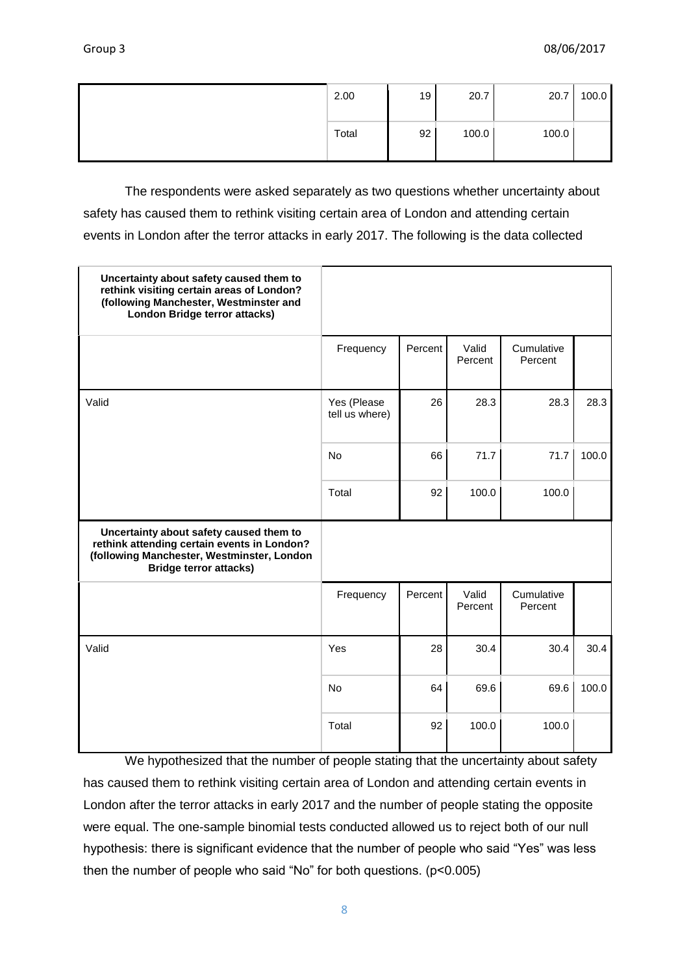| 2.00  | 19 | 20.7  | 20.7  | 100.0 |
|-------|----|-------|-------|-------|
| Total | 92 | 100.0 | 100.0 |       |

The respondents were asked separately as two questions whether uncertainty about safety has caused them to rethink visiting certain area of London and attending certain events in London after the terror attacks in early 2017. The following is the data collected

| Uncertainty about safety caused them to<br>rethink visiting certain areas of London?<br>(following Manchester, Westminster and<br>London Bridge terror attacks)       |                               |         |                  |                       |       |
|-----------------------------------------------------------------------------------------------------------------------------------------------------------------------|-------------------------------|---------|------------------|-----------------------|-------|
|                                                                                                                                                                       | Frequency                     | Percent | Valid<br>Percent | Cumulative<br>Percent |       |
| Valid                                                                                                                                                                 | Yes (Please<br>tell us where) | 26      | 28.3             | 28.3                  | 28.3  |
|                                                                                                                                                                       | <b>No</b>                     | 66      | 71.7             | 71.7                  | 100.0 |
|                                                                                                                                                                       | Total                         | 92      | 100.0            | 100.0                 |       |
| Uncertainty about safety caused them to<br>rethink attending certain events in London?<br>(following Manchester, Westminster, London<br><b>Bridge terror attacks)</b> |                               |         |                  |                       |       |
|                                                                                                                                                                       | Frequency                     | Percent | Valid<br>Percent | Cumulative<br>Percent |       |
| Valid                                                                                                                                                                 | Yes                           | 28      | 30.4             | 30.4                  | 30.4  |
|                                                                                                                                                                       | No                            | 64      | 69.6             | 69.6                  | 100.0 |
|                                                                                                                                                                       | Total                         | 92      | 100.0            | 100.0                 |       |

We hypothesized that the number of people stating that the uncertainty about safety has caused them to rethink visiting certain area of London and attending certain events in London after the terror attacks in early 2017 and the number of people stating the opposite were equal. The one-sample binomial tests conducted allowed us to reject both of our null hypothesis: there is significant evidence that the number of people who said "Yes" was less then the number of people who said "No" for both questions. (p<0.005)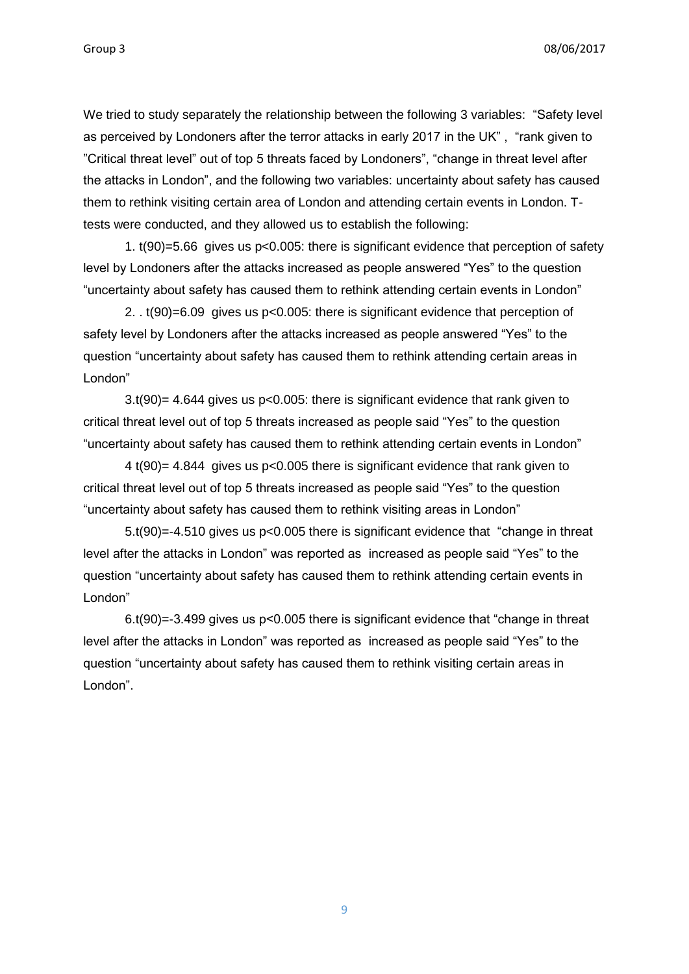We tried to study separately the relationship between the following 3 variables: "Safety level as perceived by Londoners after the terror attacks in early 2017 in the UK" , "rank given to "Critical threat level" out of top 5 threats faced by Londoners", "change in threat level after the attacks in London", and the following two variables: uncertainty about safety has caused them to rethink visiting certain area of London and attending certain events in London. Ttests were conducted, and they allowed us to establish the following:

1. t(90)=5.66 gives us p<0.005: there is significant evidence that perception of safety level by Londoners after the attacks increased as people answered "Yes" to the question "uncertainty about safety has caused them to rethink attending certain events in London"

2. . t(90)=6.09 gives us p<0.005: there is significant evidence that perception of safety level by Londoners after the attacks increased as people answered "Yes" to the question "uncertainty about safety has caused them to rethink attending certain areas in London"

3.t(90)= 4.644 gives us p<0.005: there is significant evidence that rank given to critical threat level out of top 5 threats increased as people said "Yes" to the question "uncertainty about safety has caused them to rethink attending certain events in London"

4 t(90)= 4.844 gives us p<0.005 there is significant evidence that rank given to critical threat level out of top 5 threats increased as people said "Yes" to the question "uncertainty about safety has caused them to rethink visiting areas in London"

5.t(90)=-4.510 gives us p<0.005 there is significant evidence that "change in threat level after the attacks in London" was reported as increased as people said "Yes" to the question "uncertainty about safety has caused them to rethink attending certain events in London"

6.t(90)=-3.499 gives us p<0.005 there is significant evidence that "change in threat level after the attacks in London" was reported as increased as people said "Yes" to the question "uncertainty about safety has caused them to rethink visiting certain areas in London".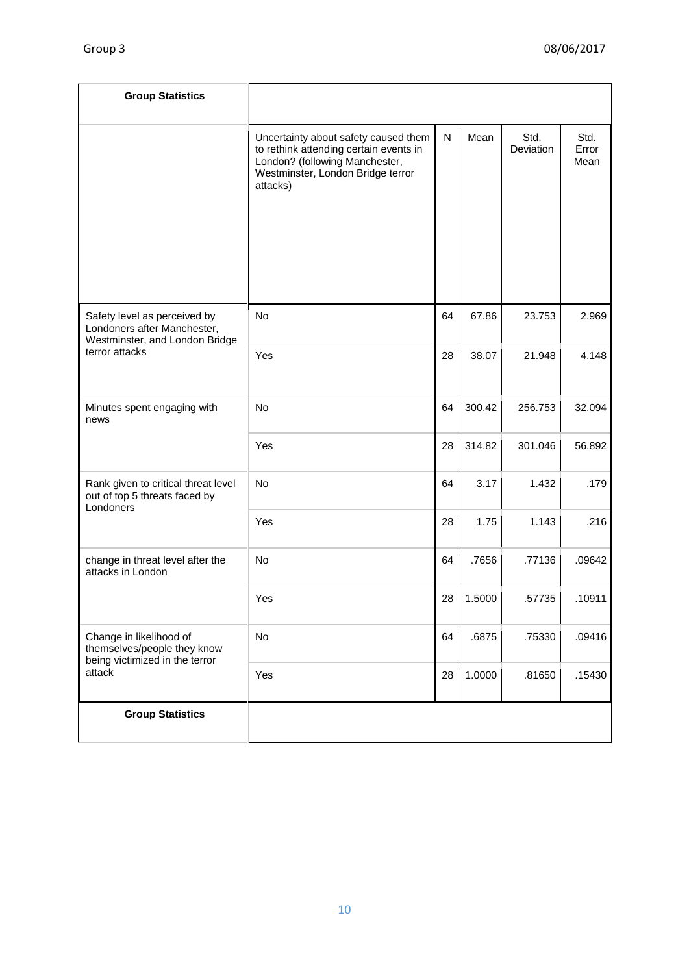| <b>Group Statistics</b>                                                                       |                                                                                                                                                                   |    |           |                   |                       |
|-----------------------------------------------------------------------------------------------|-------------------------------------------------------------------------------------------------------------------------------------------------------------------|----|-----------|-------------------|-----------------------|
|                                                                                               | Uncertainty about safety caused them<br>to rethink attending certain events in<br>London? (following Manchester,<br>Westminster, London Bridge terror<br>attacks) | N  | Mean      | Std.<br>Deviation | Std.<br>Error<br>Mean |
| Safety level as perceived by<br>Londoners after Manchester,<br>Westminster, and London Bridge | No                                                                                                                                                                | 64 | 67.86     | 23.753            | 2.969                 |
| terror attacks                                                                                | Yes                                                                                                                                                               | 28 | 38.07     | 21.948            | 4.148                 |
| Minutes spent engaging with<br>news                                                           | No                                                                                                                                                                | 64 | 300.42    | 256.753           | 32.094                |
|                                                                                               | Yes                                                                                                                                                               | 28 | 314.82    | 301.046           | 56.892                |
| Rank given to critical threat level<br>out of top 5 threats faced by<br>Londoners             | No                                                                                                                                                                | 64 | 3.17      | 1.432             | .179                  |
|                                                                                               | Yes                                                                                                                                                               | 28 | 1.75      | 1.143             | .216                  |
| change in threat level after the<br>attacks in London                                         | <b>No</b>                                                                                                                                                         | 64 | .7656     | .77136            | .09642                |
|                                                                                               | Yes                                                                                                                                                               |    | 28 1.5000 | .57735            | .10911                |
| Change in likelihood of<br>themselves/people they know<br>being victimized in the terror      | No                                                                                                                                                                | 64 | .6875     | .75330            | .09416                |
| attack                                                                                        | Yes                                                                                                                                                               | 28 | 1.0000    | .81650            | .15430                |
| <b>Group Statistics</b>                                                                       |                                                                                                                                                                   |    |           |                   |                       |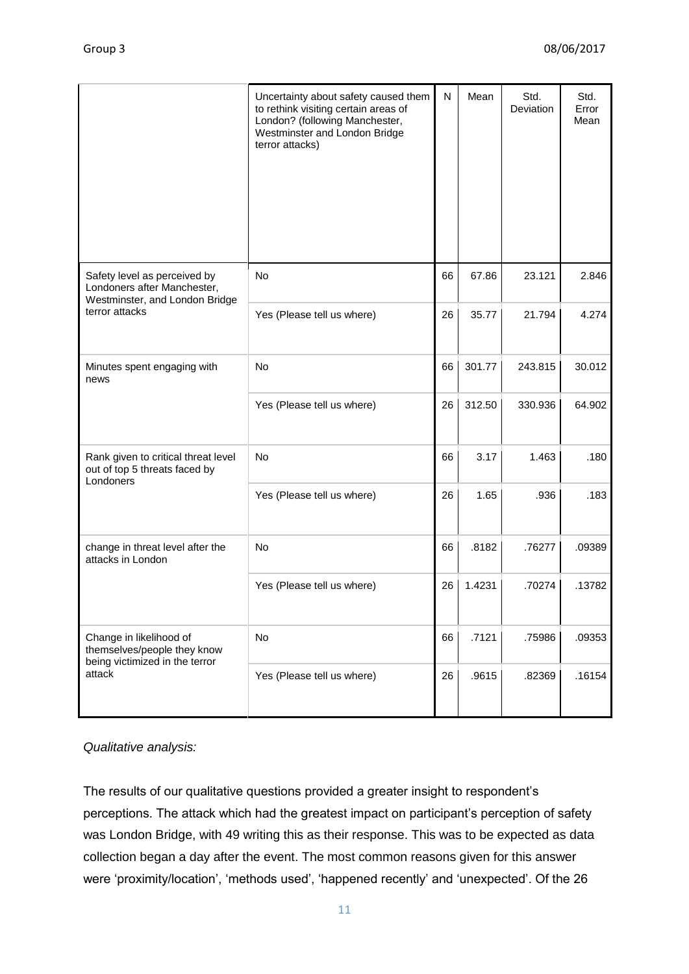|                                                                                               | Uncertainty about safety caused them<br>to rethink visiting certain areas of<br>London? (following Manchester,<br>Westminster and London Bridge<br>terror attacks) | N  | Mean   | Std.<br>Deviation | Std.<br>Error<br>Mean |
|-----------------------------------------------------------------------------------------------|--------------------------------------------------------------------------------------------------------------------------------------------------------------------|----|--------|-------------------|-----------------------|
| Safety level as perceived by<br>Londoners after Manchester,<br>Westminster, and London Bridge | <b>No</b>                                                                                                                                                          | 66 | 67.86  | 23.121            | 2.846                 |
| terror attacks                                                                                | Yes (Please tell us where)                                                                                                                                         | 26 | 35.77  | 21.794            | 4.274                 |
| Minutes spent engaging with<br>news                                                           | <b>No</b>                                                                                                                                                          | 66 | 301.77 | 243.815           | 30.012                |
|                                                                                               | Yes (Please tell us where)                                                                                                                                         | 26 | 312.50 | 330.936           | 64.902                |
| Rank given to critical threat level<br>out of top 5 threats faced by<br>Londoners             | <b>No</b>                                                                                                                                                          | 66 | 3.17   | 1.463             | .180                  |
|                                                                                               | Yes (Please tell us where)                                                                                                                                         | 26 | 1.65   | .936              | .183                  |
| change in threat level after the<br>attacks in London                                         | <b>No</b>                                                                                                                                                          | 66 | .8182  | .76277            | .09389                |
|                                                                                               | Yes (Please tell us where)                                                                                                                                         | 26 | 1.4231 | .70274            | .13782                |
| Change in likelihood of<br>themselves/people they know<br>being victimized in the terror      | No                                                                                                                                                                 | 66 | .7121  | .75986            | .09353                |
| attack                                                                                        | Yes (Please tell us where)                                                                                                                                         | 26 | .9615  | .82369            | .16154                |

# *Qualitative analysis:*

The results of our qualitative questions provided a greater insight to respondent's perceptions. The attack which had the greatest impact on participant's perception of safety was London Bridge, with 49 writing this as their response. This was to be expected as data collection began a day after the event. The most common reasons given for this answer were 'proximity/location', 'methods used', 'happened recently' and 'unexpected'. Of the 26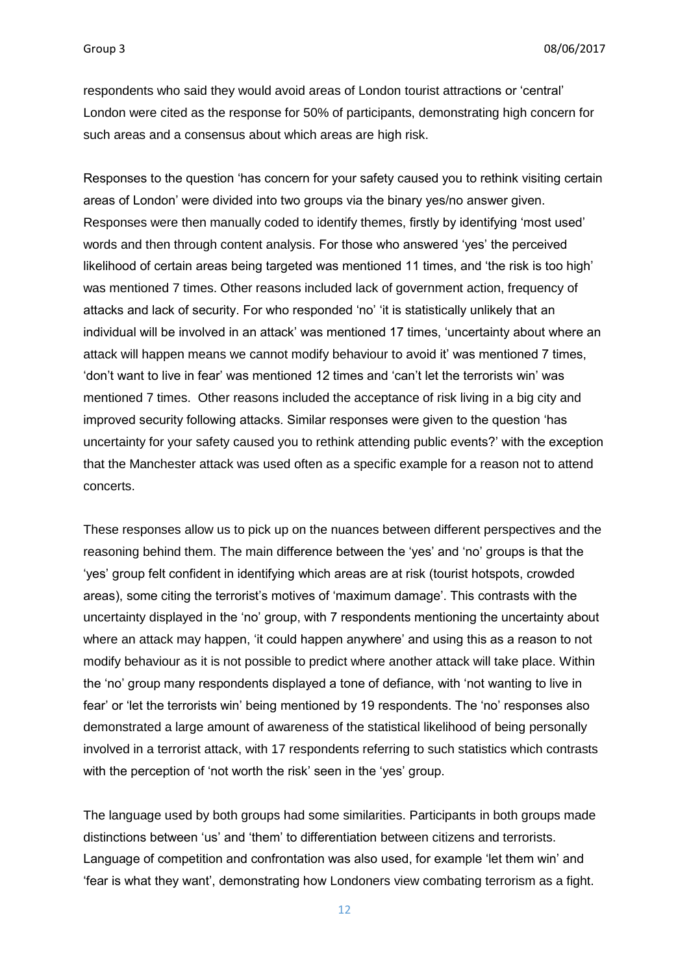respondents who said they would avoid areas of London tourist attractions or 'central' London were cited as the response for 50% of participants, demonstrating high concern for such areas and a consensus about which areas are high risk.

Responses to the question 'has concern for your safety caused you to rethink visiting certain areas of London' were divided into two groups via the binary yes/no answer given. Responses were then manually coded to identify themes, firstly by identifying 'most used' words and then through content analysis. For those who answered 'yes' the perceived likelihood of certain areas being targeted was mentioned 11 times, and 'the risk is too high' was mentioned 7 times. Other reasons included lack of government action, frequency of attacks and lack of security. For who responded 'no' 'it is statistically unlikely that an individual will be involved in an attack' was mentioned 17 times, 'uncertainty about where an attack will happen means we cannot modify behaviour to avoid it' was mentioned 7 times, 'don't want to live in fear' was mentioned 12 times and 'can't let the terrorists win' was mentioned 7 times. Other reasons included the acceptance of risk living in a big city and improved security following attacks. Similar responses were given to the question 'has uncertainty for your safety caused you to rethink attending public events?' with the exception that the Manchester attack was used often as a specific example for a reason not to attend concerts.

These responses allow us to pick up on the nuances between different perspectives and the reasoning behind them. The main difference between the 'yes' and 'no' groups is that the 'yes' group felt confident in identifying which areas are at risk (tourist hotspots, crowded areas), some citing the terrorist's motives of 'maximum damage'. This contrasts with the uncertainty displayed in the 'no' group, with 7 respondents mentioning the uncertainty about where an attack may happen, 'it could happen anywhere' and using this as a reason to not modify behaviour as it is not possible to predict where another attack will take place. Within the 'no' group many respondents displayed a tone of defiance, with 'not wanting to live in fear' or 'let the terrorists win' being mentioned by 19 respondents. The 'no' responses also demonstrated a large amount of awareness of the statistical likelihood of being personally involved in a terrorist attack, with 17 respondents referring to such statistics which contrasts with the perception of 'not worth the risk' seen in the 'yes' group.

The language used by both groups had some similarities. Participants in both groups made distinctions between 'us' and 'them' to differentiation between citizens and terrorists. Language of competition and confrontation was also used, for example 'let them win' and 'fear is what they want', demonstrating how Londoners view combating terrorism as a fight.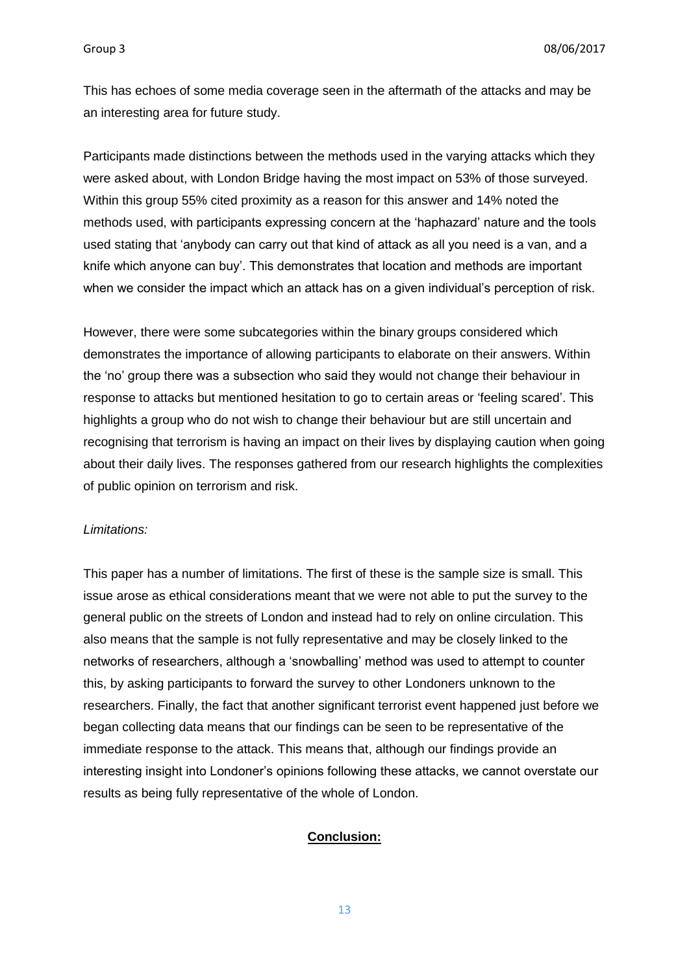This has echoes of some media coverage seen in the aftermath of the attacks and may be an interesting area for future study.

Participants made distinctions between the methods used in the varying attacks which they were asked about, with London Bridge having the most impact on 53% of those surveyed. Within this group 55% cited proximity as a reason for this answer and 14% noted the methods used, with participants expressing concern at the 'haphazard' nature and the tools used stating that 'anybody can carry out that kind of attack as all you need is a van, and a knife which anyone can buy'. This demonstrates that location and methods are important when we consider the impact which an attack has on a given individual's perception of risk.

However, there were some subcategories within the binary groups considered which demonstrates the importance of allowing participants to elaborate on their answers. Within the 'no' group there was a subsection who said they would not change their behaviour in response to attacks but mentioned hesitation to go to certain areas or 'feeling scared'. This highlights a group who do not wish to change their behaviour but are still uncertain and recognising that terrorism is having an impact on their lives by displaying caution when going about their daily lives. The responses gathered from our research highlights the complexities of public opinion on terrorism and risk.

#### *Limitations:*

This paper has a number of limitations. The first of these is the sample size is small. This issue arose as ethical considerations meant that we were not able to put the survey to the general public on the streets of London and instead had to rely on online circulation. This also means that the sample is not fully representative and may be closely linked to the networks of researchers, although a 'snowballing' method was used to attempt to counter this, by asking participants to forward the survey to other Londoners unknown to the researchers. Finally, the fact that another significant terrorist event happened just before we began collecting data means that our findings can be seen to be representative of the immediate response to the attack. This means that, although our findings provide an interesting insight into Londoner's opinions following these attacks, we cannot overstate our results as being fully representative of the whole of London.

#### **Conclusion:**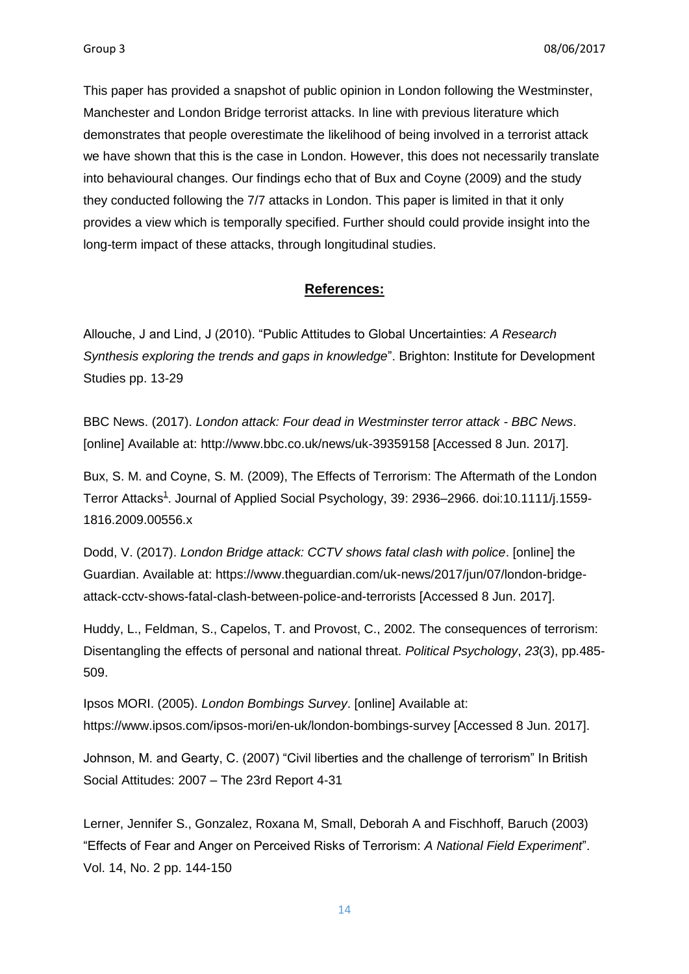This paper has provided a snapshot of public opinion in London following the Westminster, Manchester and London Bridge terrorist attacks. In line with previous literature which demonstrates that people overestimate the likelihood of being involved in a terrorist attack we have shown that this is the case in London. However, this does not necessarily translate into behavioural changes. Our findings echo that of Bux and Coyne (2009) and the study they conducted following the 7/7 attacks in London. This paper is limited in that it only provides a view which is temporally specified. Further should could provide insight into the long-term impact of these attacks, through longitudinal studies.

### **References:**

Allouche, J and Lind, J (2010). "Public Attitudes to Global Uncertainties: *A Research Synthesis exploring the trends and gaps in knowledge*". Brighton: Institute for Development Studies pp. 13-29

BBC News. (2017). *London attack: Four dead in Westminster terror attack - BBC News*. [online] Available at: http://www.bbc.co.uk/news/uk-39359158 [Accessed 8 Jun. 2017].

Bux, S. M. and Coyne, S. M. (2009), The Effects of Terrorism: The Aftermath of the London Terror Attacks<sup>[1](http://onlinelibrary.wiley.com/doi/10.1111/j.1559-1816.2009.00556.x/abstract#fn1)</sup>. Journal of Applied Social Psychology, 39: 2936–2966. doi:10.1111/j.1559-1816.2009.00556.x

Dodd, V. (2017). *London Bridge attack: CCTV shows fatal clash with police*. [online] the Guardian. Available at: https://www.theguardian.com/uk-news/2017/jun/07/london-bridgeattack-cctv-shows-fatal-clash-between-police-and-terrorists [Accessed 8 Jun. 2017].

Huddy, L., Feldman, S., Capelos, T. and Provost, C., 2002. The consequences of terrorism: Disentangling the effects of personal and national threat. *Political Psychology*, *23*(3), pp.485- 509.

Ipsos MORI. (2005). *London Bombings Survey*. [online] Available at: https://www.ipsos.com/ipsos-mori/en-uk/london-bombings-survey [Accessed 8 Jun. 2017].

Johnson, M. and Gearty, C. (2007) "Civil liberties and the challenge of terrorism" In British Social Attitudes: 2007 – The 23rd Report 4-31

Lerner, Jennifer S., Gonzalez, Roxana M, Small, Deborah A and Fischhoff, Baruch (2003) "Effects of Fear and Anger on Perceived Risks of Terrorism: *A National Field Experiment*". Vol. 14, No. 2 pp. 144-150